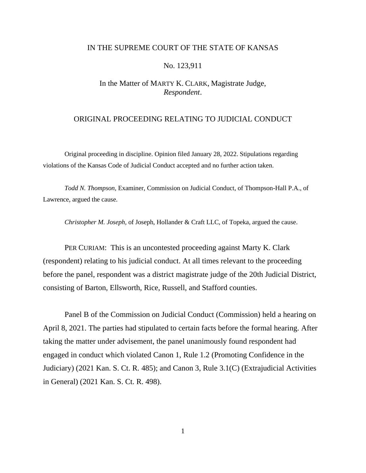## IN THE SUPREME COURT OF THE STATE OF KANSAS

## No. 123,911

# In the Matter of MARTY K. CLARK, Magistrate Judge, *Respondent*.

## ORIGINAL PROCEEDING RELATING TO JUDICIAL CONDUCT

Original proceeding in discipline. Opinion filed January 28, 2022. Stipulations regarding violations of the Kansas Code of Judicial Conduct accepted and no further action taken.

*Todd N. Thompson,* Examiner, Commission on Judicial Conduct, of Thompson-Hall P.A., of Lawrence, argued the cause.

*Christopher M. Joseph,* of Joseph, Hollander & Craft LLC, of Topeka, argued the cause.

PER CURIAM: This is an uncontested proceeding against Marty K. Clark (respondent) relating to his judicial conduct. At all times relevant to the proceeding before the panel, respondent was a district magistrate judge of the 20th Judicial District, consisting of Barton, Ellsworth, Rice, Russell, and Stafford counties.

Panel B of the Commission on Judicial Conduct (Commission) held a hearing on April 8, 2021. The parties had stipulated to certain facts before the formal hearing. After taking the matter under advisement, the panel unanimously found respondent had engaged in conduct which violated Canon 1, Rule 1.2 (Promoting Confidence in the Judiciary) (2021 Kan. S. Ct. R. 485); and Canon 3, Rule 3.1(C) (Extrajudicial Activities in General) (2021 Kan. S. Ct. R. 498).

1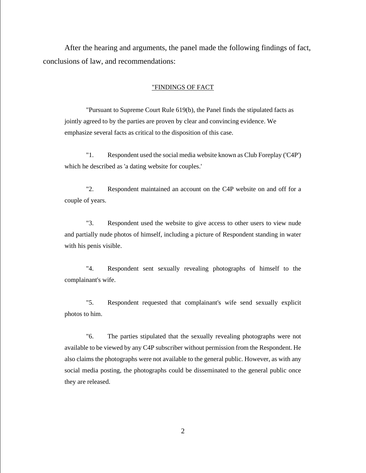After the hearing and arguments, the panel made the following findings of fact, conclusions of law, and recommendations:

### "FINDINGS OF FACT

"Pursuant to Supreme Court Rule 619(b), the Panel finds the stipulated facts as jointly agreed to by the parties are proven by clear and convincing evidence. We emphasize several facts as critical to the disposition of this case.

"1. Respondent used the social media website known as Club Foreplay ('C4P') which he described as 'a dating website for couples.'

"2. Respondent maintained an account on the C4P website on and off for a couple of years.

"3. Respondent used the website to give access to other users to view nude and partially nude photos of himself, including a picture of Respondent standing in water with his penis visible.

"4. Respondent sent sexually revealing photographs of himself to the complainant's wife.

"5. Respondent requested that complainant's wife send sexually explicit photos to him.

"6. The parties stipulated that the sexually revealing photographs were not available to be viewed by any C4P subscriber without permission from the Respondent. He also claims the photographs were not available to the general public. However, as with any social media posting, the photographs could be disseminated to the general public once they are released.

2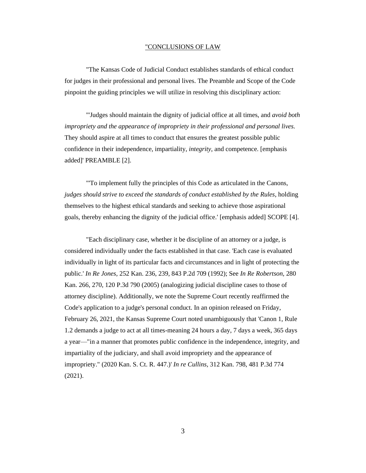#### "CONCLUSIONS OF LAW

"The Kansas Code of Judicial Conduct establishes standards of ethical conduct for judges in their professional and personal lives. The Preamble and Scope of the Code pinpoint the guiding principles we will utilize in resolving this disciplinary action:

"'Judges should maintain the dignity of judicial office at all times, and *avoid both impropriety and the appearance of impropriety in their professional and personal lives.* They should aspire at all times to conduct that ensures the greatest possible public confidence in their independence, impartiality, *integrity*, and competence. [emphasis added]' PREAMBLE [2].

"'To implement fully the principles of this Code as articulated in the Canons, *judges should strive to exceed the standards of conduct established by the Rules*, holding themselves to the highest ethical standards and seeking to achieve those aspirational goals, thereby enhancing the dignity of the judicial office.' [emphasis added] SCOPE [4].

"Each disciplinary case, whether it be discipline of an attorney or a judge, is considered individually under the facts established in that case. 'Each case is evaluated individually in light of its particular facts and circumstances and in light of protecting the public.' *In Re Jones,* 252 Kan. 236, 239, 843 P.2d 709 (1992); See *In Re Robertson,* 280 Kan. 266, 270, 120 P.3d 790 (2005) (analogizing judicial discipline cases to those of attorney discipline). Additionally, we note the Supreme Court recently reaffirmed the Code's application to a judge's personal conduct. In an opinion released on Friday, February 26, 2021, the Kansas Supreme Court noted unambiguously that 'Canon 1, Rule 1.2 demands a judge to act at all times-meaning 24 hours a day, 7 days a week, 365 days a year—"in a manner that promotes public confidence in the independence, integrity, and impartiality of the judiciary, and shall avoid impropriety and the appearance of impropriety." (2020 Kan. S. Ct. R. 447.)' *In re Cullins,* 312 Kan. 798, 481 P.3d 774  $(2021)$ .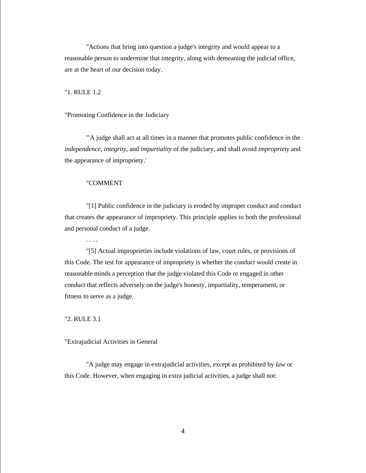"Actions that bring into question a judge's integrity and would appear to a reasonable person to undermine that integrity, along with demeaning the judicial office, are at the heart of our decision today.

"1. RULE 1.2

"Promoting Confidence in the Judiciary

"'A judge shall act at all times in a manner that promotes public confidence in the *independence, integrity,* and *impartiality* of the judiciary, and shall avoid *impropriety* and the appearance of impropriety.'

#### "COMMENT

. . . .

"[1] Public confidence in the judiciary is eroded by improper conduct and conduct that creates the appearance of impropriety. This principle applies to both the professional and personal conduct of a judge.

"[5] Actual improprieties include violations of law, court rules, or provisions of this Code. The test for appearance of impropriety is whether the conduct would create in reasonable minds a perception that the judge violated this Code or engaged in other conduct that reflects adversely on the judge's honesty, impartiality, temperament, or fitness to serve as a judge.

"2. RULE 3.1

### "Extrajudicial Activities in General

"A judge may engage in extrajudicial activities, except as prohibited by *law* or this Code. However, when engaging in extra judicial activities, a judge shall not: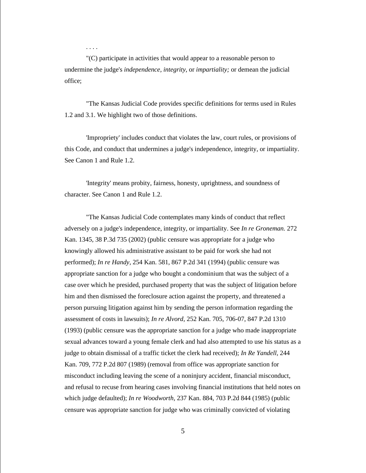. . . .

"(C) participate in activities that would appear to a reasonable person to undermine the judge's *independence, integrity,* or *impartiality;* or demean the judicial office;

"The Kansas Judicial Code provides specific definitions for terms used in Rules 1.2 and 3.1. We highlight two of those definitions.

'Impropriety' includes conduct that violates the law, court rules, or provisions of this Code, and conduct that undermines a judge's independence, integrity, or impartiality. See Canon 1 and Rule 1.2.

'Integrity' means probity, fairness, honesty, uprightness, and soundness of character. See Canon 1 and Rule 1.2.

"The Kansas Judicial Code contemplates many kinds of conduct that reflect adversely on a judge's independence, integrity, or impartiality. See *In re Groneman.* 272 Kan. 1345, 38 P.3d 735 (2002) (public censure was appropriate for a judge who knowingly allowed his administrative assistant to be paid for work she had not performed); *In re Handy,* 254 Kan. 581, 867 P.2d 341 (1994) (public censure was appropriate sanction for a judge who bought a condominium that was the subject of a case over which he presided, purchased property that was the subject of litigation before him and then dismissed the foreclosure action against the property, and threatened a person pursuing litigation against him by sending the person information regarding the assessment of costs in lawsuits); *In re Alvord,* 252 Kan. 705, 706-07, 847 P.2d 1310 (1993) (public censure was the appropriate sanction for a judge who made inappropriate sexual advances toward a young female clerk and had also attempted to use his status as a judge to obtain dismissal of a traffic ticket the clerk had received); *In Re Yandell,* 244 Kan. 709, 772 P.2d 807 (1989) (removal from office was appropriate sanction for misconduct including leaving the scene of a noninjury accident, financial misconduct, and refusal to recuse from hearing cases involving financial institutions that held notes on which judge defaulted); *In re Woodworth,* 237 Kan. 884, 703 P.2d 844 (1985) (public censure was appropriate sanction for judge who was criminally convicted of violating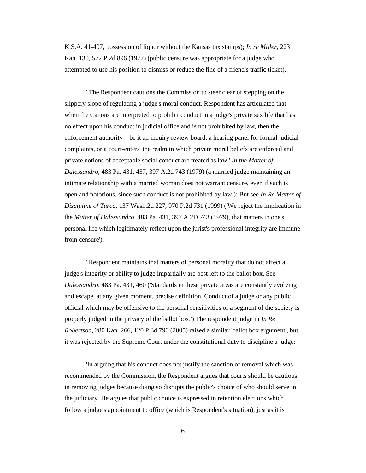K.S.A. 41-407, possession of liquor without the Kansas tax stamps); *In re Miller,* 223 Kan. 130, 572 P.2d 896 (1977) (public censure was appropriate for a judge who attempted to use his position to dismiss or reduce the fine of a friend's traffic ticket).

"The Respondent cautions the Commission to steer clear of stepping on the slippery slope of regulating a judge's moral conduct. Respondent has articulated that when the Canons are interpreted to prohibit conduct in a judge's private sex life that has no effect upon his conduct in judicial office and is not prohibited by law, then the enforcement authority—be it an inquiry review board, a hearing panel for formal judicial complaints, or a court-enters 'the realm in which private moral beliefs are enforced and private notions of acceptable social conduct are treated as law.' *In the Matter of Dalessandro,* 483 Pa. 431, 457, 397 A.2d 743 (1979) (a married judge maintaining an intimate relationship with a married woman does not warrant censure, even if such is open and notorious, since such conduct is not prohibited by law.); But see *In Re Matter of Discipline of Turco,* 137 Wash.2d 227, 970 P.2d 731 (1999) ('We reject the implication in the *Matter of Dalessandro,* 483 Pa. 431, 397 A.2D 743 (1979), that matters in one's personal life which legitimately reflect upon the jurist's professional integrity are immune from censure').

"Respondent maintains that matters of personal morality that do not affect a judge's integrity or ability to judge impartially are best left to the ballot box. See *Dalessandro,* 483 Pa. 431, 460 ('Standards in these private areas are constantly evolving and escape, at any given moment, precise definition. Conduct of a judge or any public official which may be offensive to the personal sensitivities of a segment of the society is properly judged in the privacy of the ballot box.') The respondent judge in *In Re Robertson,* 280 Kan. 266, 120 P.3d 790 (2005) raised a similar 'ballot box argument', but it was rejected by the Supreme Court under the constitutional duty to discipline a judge:

'In arguing that his conduct does not justify the sanction of removal which was recommended by the Commission, the Respondent argues that courts should be cautious in removing judges because doing so disrupts the public's choice of who should serve in the judiciary. He argues that public choice is expressed in retention elections which follow a judge's appointment to office (which is Respondent's situation), just as it is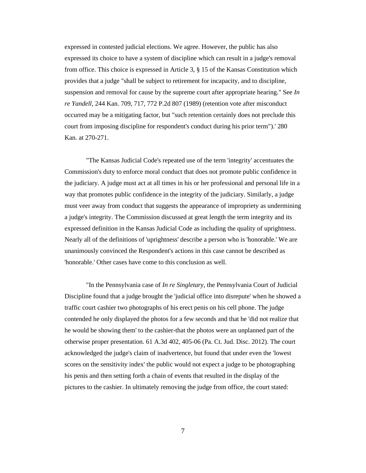expressed in contested judicial elections. We agree. However, the public has also expressed its choice to have a system of discipline which can result in a judge's removal from office. This choice is expressed in Article 3, § 15 of the Kansas Constitution which provides that a judge "shall be subject to retirement for incapacity, and to discipline, suspension and removal for cause by the supreme court after appropriate hearing." See *In re Yandell,* 244 Kan. 709, 717, 772 P.2d 807 (1989) (retention vote after misconduct occurred may be a mitigating factor, but "such retention certainly does not preclude this court from imposing discipline for respondent's conduct during his prior term").' 280 Kan. at 270-271.

"The Kansas Judicial Code's repeated use of the term 'integrity' accentuates the Commission's duty to enforce moral conduct that does not promote public confidence in the judiciary. A judge must act at all times in his or her professional and personal life in a way that promotes public confidence in the integrity of the judiciary. Similarly, a judge must veer away from conduct that suggests the appearance of impropriety as undermining a judge's integrity. The Commission discussed at great length the term integrity and its expressed definition in the Kansas Judicial Code as including the quality of uprightness. Nearly all of the definitions of 'uprightness' describe a person who is 'honorable.' We are unanimously convinced the Respondent's actions in this case cannot be described as 'honorable.' Other cases have come to this conclusion as well.

"In the Pennsylvania case of *In re Singletary,* the Pennsylvania Court of Judicial Discipline found that a judge brought the 'judicial office into disrepute' when he showed a traffic court cashier two photographs of his erect penis on his cell phone. The judge contended he only displayed the photos for a few seconds and that he 'did not realize that he would be showing them' to the cashier-that the photos were an unplanned part of the otherwise proper presentation. 61 A.3d 402, 405-06 (Pa. Ct. Jud. Disc. 2012). The court acknowledged the judge's claim of inadvertence, but found that under even the 'lowest scores on the sensitivity index' the public would not expect a judge to be photographing his penis and then setting forth a chain of events that resulted in the display of the pictures to the cashier. In ultimately removing the judge from office, the court stated:

7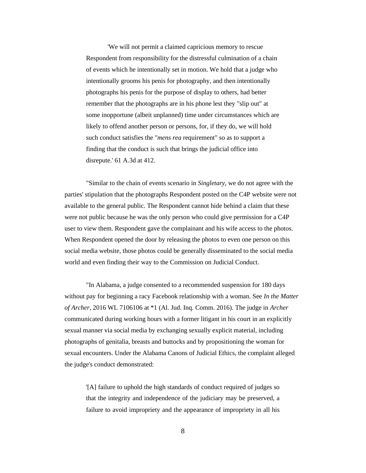'We will not permit a claimed capricious memory to rescue Respondent from responsibility for the distressful culmination of a chain of events which he intentionally set in motion. We hold that a judge who intentionally grooms his penis for photography, and then intentionally photographs his penis for the purpose of display to others, had better remember that the photographs are in his phone lest they "slip out" at some inopportune (albeit unplanned) time under circumstances which are likely to offend another person or persons, for, if they do, we will hold such conduct satisfies the "*mens rea* requirement" so as to support a finding that the conduct is such that brings the judicial office into disrepute.' 61 A.3d at 412.

"Similar to the chain of events scenario in *Singletary,* we do not agree with the parties' stipulation that the photographs Respondent posted on the C4P website were not available to the general public. The Respondent cannot hide behind a claim that these were not public because he was the only person who could give permission for a C4P user to view them. Respondent gave the complainant and his wife access to the photos. When Respondent opened the door by releasing the photos to even one person on this social media website, those photos could be generally disseminated to the social media world and even finding their way to the Commission on Judicial Conduct.

"In Alabama, a judge consented to a recommended suspension for 180 days without pay for beginning a racy Facebook relationship with a woman. See *In the Matter of Archer,* 2016 WL 7106106 at \*1 (Al. Jud. Inq. Comm. 2016). The judge in *Archer*  communicated during working hours with a former litigant in his court in an explicitly sexual manner via social media by exchanging sexually explicit material, including photographs of genitalia, breasts and buttocks and by propositioning the woman for sexual encounters. Under the Alabama Canons of Judicial Ethics, the complaint alleged the judge's conduct demonstrated:

'[A] failure to uphold the high standards of conduct required of judges so that the integrity and independence of the judiciary may be preserved, a failure to avoid impropriety and the appearance of impropriety in all his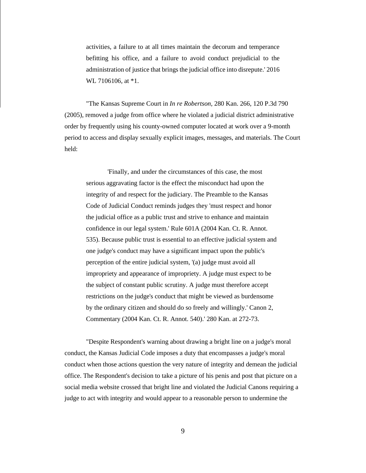activities, a failure to at all times maintain the decorum and temperance befitting his office, and a failure to avoid conduct prejudicial to the administration of justice that brings the judicial office into disrepute.' 2016 WL 7106106, at  $*1$ .

"The Kansas Supreme Court in *In re Robertson,* 280 Kan. 266, 120 P.3d 790 (2005), removed a judge from office where he violated a judicial district administrative order by frequently using his county-owned computer located at work over a 9-month period to access and display sexually explicit images, messages, and materials. The Court held:

'Finally, and under the circumstances of this case, the most serious aggravating factor is the effect the misconduct had upon the integrity of and respect for the judiciary. The Preamble to the Kansas Code of Judicial Conduct reminds judges they 'must respect and honor the judicial office as a public trust and strive to enhance and maintain confidence in our legal system.' Rule 601A (2004 Kan. Ct. R. Annot. 535). Because public trust is essential to an effective judicial system and one judge's conduct may have a significant impact upon the public's perception of the entire judicial system, '(a) judge must avoid all impropriety and appearance of impropriety. A judge must expect to be the subject of constant public scrutiny. A judge must therefore accept restrictions on the judge's conduct that might be viewed as burdensome by the ordinary citizen and should do so freely and willingly.' Canon 2, Commentary (2004 Kan. Ct. R. Annot. 540).' 280 Kan. at 272-73.

"Despite Respondent's warning about drawing a bright line on a judge's moral conduct, the Kansas Judicial Code imposes a duty that encompasses a judge's moral conduct when those actions question the very nature of integrity and demean the judicial office. The Respondent's decision to take a picture of his penis and post that picture on a social media website crossed that bright line and violated the Judicial Canons requiring a judge to act with integrity and would appear to a reasonable person to undermine the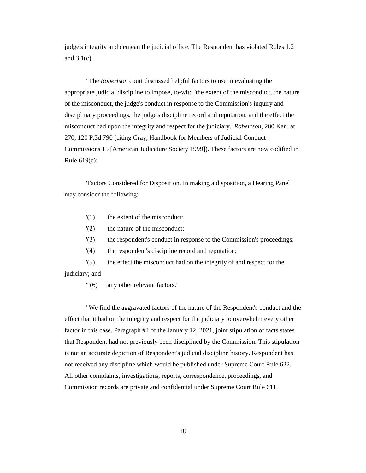judge's integrity and demean the judicial office. The Respondent has violated Rules 1.2 and 3.1(c).

"The *Robertson* court discussed helpful factors to use in evaluating the appropriate judicial discipline to impose, to-wit: 'the extent of the misconduct, the nature of the misconduct, the judge's conduct in response to the Commission's inquiry and disciplinary proceedings, the judge's discipline record and reputation, and the effect the misconduct had upon the integrity and respect for the judiciary.' *Robertson,* 280 Kan. at 270, 120 P.3d 790 (citing Gray, Handbook for Members of Judicial Conduct Commissions 15 [American Judicature Society 1999]). These factors are now codified in Rule 619(e):

'Factors Considered for Disposition. In making a disposition, a Hearing Panel may consider the following:

- '(1) the extent of the misconduct;
- '(2) the nature of the misconduct;
- '(3) the respondent's conduct in response to the Commission's proceedings;
- '(4) the respondent's discipline record and reputation;

'(5) the effect the misconduct had on the integrity of and respect for the judiciary; and

'"(6) any other relevant factors.'

"We find the aggravated factors of the nature of the Respondent's conduct and the effect that it had on the integrity and respect for the judiciary to overwhelm every other factor in this case. Paragraph #4 of the January 12, 2021, joint stipulation of facts states that Respondent had not previously been disciplined by the Commission. This stipulation is not an accurate depiction of Respondent's judicial discipline history. Respondent has not received any discipline which would be published under Supreme Court Rule 622. All other complaints, investigations, reports, correspondence, proceedings, and Commission records are private and confidential under Supreme Court Rule 611.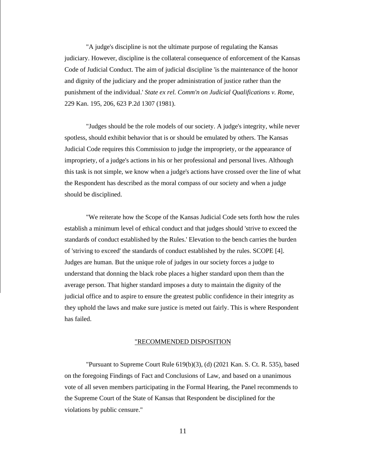"A judge's discipline is not the ultimate purpose of regulating the Kansas judiciary. However, discipline is the collateral consequence of enforcement of the Kansas Code of Judicial Conduct. The aim of judicial discipline 'is the maintenance of the honor and dignity of the judiciary and the proper administration of justice rather than the punishment of the individual.' *State ex rel. Comm'n on Judicial Qualifications v. Rome,*  229 Kan. 195, 206, 623 P.2d 1307 (1981).

"Judges should be the role models of our society. A judge's integrity, while never spotless, should exhibit behavior that is or should be emulated by others. The Kansas Judicial Code requires this Commission to judge the impropriety, or the appearance of impropriety, of a judge's actions in his or her professional and personal lives. Although this task is not simple, we know when a judge's actions have crossed over the line of what the Respondent has described as the moral compass of our society and when a judge should be disciplined.

"We reiterate how the Scope of the Kansas Judicial Code sets forth how the rules establish a minimum level of ethical conduct and that judges should 'strive to exceed the standards of conduct established by the Rules.' Elevation to the bench carries the burden of 'striving to exceed' the standards of conduct established by the rules. SCOPE [4]. Judges are human. But the unique role of judges in our society forces a judge to understand that donning the black robe places a higher standard upon them than the average person. That higher standard imposes a duty to maintain the dignity of the judicial office and to aspire to ensure the greatest public confidence in their integrity as they uphold the laws and make sure justice is meted out fairly. This is where Respondent has failed.

### "RECOMMENDED DISPOSITION

"Pursuant to Supreme Court Rule 619(b)(3), (d) (2021 Kan. S. Ct. R. 535), based on the foregoing Findings of Fact and Conclusions of Law, and based on a unanimous vote of all seven members participating in the Formal Hearing, the Panel recommends to the Supreme Court of the State of Kansas that Respondent be disciplined for the violations by public censure."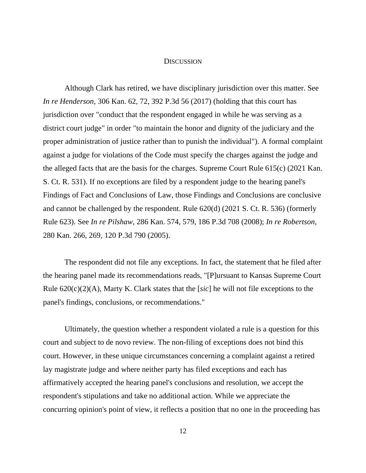### **DISCUSSION**

Although Clark has retired, we have disciplinary jurisdiction over this matter. See *In re Henderson*, 306 Kan. 62, 72, 392 P.3d 56 (2017) (holding that this court has jurisdiction over "conduct that the respondent engaged in while he was serving as a district court judge" in order "to maintain the honor and dignity of the judiciary and the proper administration of justice rather than to punish the individual"). A formal complaint against a judge for violations of the Code must specify the charges against the judge and the alleged facts that are the basis for the charges. Supreme Court Rule 615(c) (2021 Kan. S. Ct. R. 531). If no exceptions are filed by a respondent judge to the hearing panel's Findings of Fact and Conclusions of Law, those Findings and Conclusions are conclusive and cannot be challenged by the respondent. Rule 620(d) (2021 S. Ct. R. 536) (formerly Rule 623). See *In re Pilshaw*, 286 Kan. 574, 579, 186 P.3d 708 (2008); *In re Robertson*, 280 Kan. 266, 269, 120 P.3d 790 (2005).

The respondent did not file any exceptions. In fact, the statement that he filed after the hearing panel made its recommendations reads, "[P]ursuant to Kansas Supreme Court Rule 620(c)(2)(A), Marty K. Clark states that the [*sic*] he will not file exceptions to the panel's findings, conclusions, or recommendations."

Ultimately, the question whether a respondent violated a rule is a question for this court and subject to de novo review. The non-filing of exceptions does not bind this court. However, in these unique circumstances concerning a complaint against a retired lay magistrate judge and where neither party has filed exceptions and each has affirmatively accepted the hearing panel's conclusions and resolution, we accept the respondent's stipulations and take no additional action. While we appreciate the concurring opinion's point of view, it reflects a position that no one in the proceeding has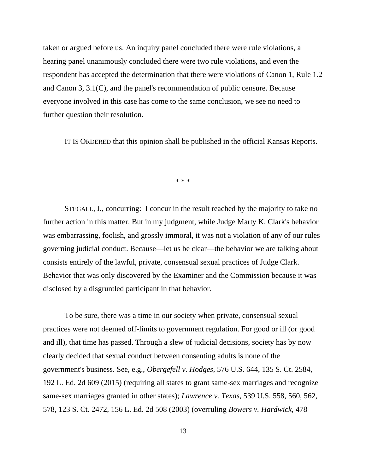taken or argued before us. An inquiry panel concluded there were rule violations, a hearing panel unanimously concluded there were two rule violations, and even the respondent has accepted the determination that there were violations of Canon 1, Rule 1.2 and Canon 3, 3.1(C), and the panel's recommendation of public censure. Because everyone involved in this case has come to the same conclusion, we see no need to further question their resolution.

IT IS ORDERED that this opinion shall be published in the official Kansas Reports.

\* \* \*

STEGALL, J., concurring: I concur in the result reached by the majority to take no further action in this matter. But in my judgment, while Judge Marty K. Clark's behavior was embarrassing, foolish, and grossly immoral, it was not a violation of any of our rules governing judicial conduct. Because—let us be clear—the behavior we are talking about consists entirely of the lawful, private, consensual sexual practices of Judge Clark. Behavior that was only discovered by the Examiner and the Commission because it was disclosed by a disgruntled participant in that behavior.

To be sure, there was a time in our society when private, consensual sexual practices were not deemed off-limits to government regulation. For good or ill (or good and ill), that time has passed. Through a slew of judicial decisions, society has by now clearly decided that sexual conduct between consenting adults is none of the government's business. See, e.g., *Obergefell v. Hodges*, 576 U.S. 644, 135 S. Ct. 2584, 192 L. Ed. 2d 609 (2015) (requiring all states to grant same-sex marriages and recognize same-sex marriages granted in other states); *Lawrence v. Texas*, 539 U.S. 558, 560, 562, 578, 123 S. Ct. 2472, 156 L. Ed. 2d 508 (2003) (overruling *Bowers v. Hardwick*, 478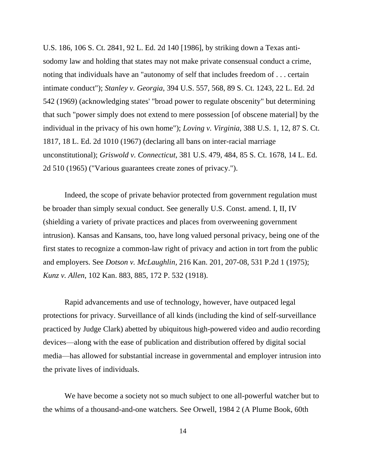U.S. 186, 106 S. Ct. 2841, 92 L. Ed. 2d 140 [1986], by striking down a Texas antisodomy law and holding that states may not make private consensual conduct a crime, noting that individuals have an "autonomy of self that includes freedom of . . . certain intimate conduct"); *Stanley v. Georgia*, 394 U.S. 557, 568, 89 S. Ct. 1243, 22 L. Ed. 2d 542 (1969) (acknowledging states' "broad power to regulate obscenity" but determining that such "power simply does not extend to mere possession [of obscene material] by the individual in the privacy of his own home"); *Loving v. Virginia*, 388 U.S. 1, 12, 87 S. Ct. 1817, 18 L. Ed. 2d 1010 (1967) (declaring all bans on inter-racial marriage unconstitutional); *Griswold v. Connecticut*, 381 U.S. 479, 484, 85 S. Ct. 1678, 14 L. Ed. 2d 510 (1965) ("Various guarantees create zones of privacy.").

Indeed, the scope of private behavior protected from government regulation must be broader than simply sexual conduct. See generally U.S. Const. amend. I, II, IV (shielding a variety of private practices and places from overweening government intrusion). Kansas and Kansans, too, have long valued personal privacy, being one of the first states to recognize a common-law right of privacy and action in tort from the public and employers. See *Dotson v. McLaughlin*, 216 Kan. 201, 207-08, 531 P.2d 1 (1975); *Kunz v. Allen*, 102 Kan. 883, 885, 172 P. 532 (1918).

Rapid advancements and use of technology, however, have outpaced legal protections for privacy. Surveillance of all kinds (including the kind of self-surveillance practiced by Judge Clark) abetted by ubiquitous high-powered video and audio recording devices—along with the ease of publication and distribution offered by digital social media—has allowed for substantial increase in governmental and employer intrusion into the private lives of individuals.

We have become a society not so much subject to one all-powerful watcher but to the whims of a thousand-and-one watchers. See Orwell, 1984 2 (A Plume Book, 60th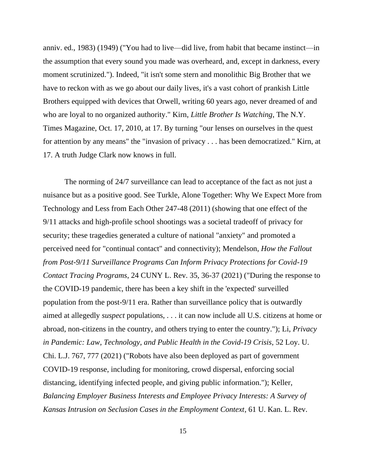anniv. ed., 1983) (1949) ("You had to live—did live, from habit that became instinct—in the assumption that every sound you made was overheard, and, except in darkness, every moment scrutinized."). Indeed, "it isn't some stern and monolithic Big Brother that we have to reckon with as we go about our daily lives, it's a vast cohort of prankish Little Brothers equipped with devices that Orwell, writing 60 years ago, never dreamed of and who are loyal to no organized authority." Kirn, *Little Brother Is Watching*, The N.Y. Times Magazine, Oct. 17, 2010, at 17. By turning "our lenses on ourselves in the quest for attention by any means" the "invasion of privacy . . . has been democratized." Kirn, at 17. A truth Judge Clark now knows in full.

The norming of 24/7 surveillance can lead to acceptance of the fact as not just a nuisance but as a positive good. See Turkle, Alone Together: Why We Expect More from Technology and Less from Each Other 247-48 (2011) (showing that one effect of the 9/11 attacks and high-profile school shootings was a societal tradeoff of privacy for security; these tragedies generated a culture of national "anxiety" and promoted a perceived need for "continual contact" and connectivity); Mendelson, *How the Fallout from Post-9/11 Surveillance Programs Can Inform Privacy Protections for Covid-19 Contact Tracing Programs*, 24 CUNY L. Rev. 35, 36-37 (2021) ("During the response to the COVID-19 pandemic, there has been a key shift in the 'expected' surveilled population from the post-9/11 era. Rather than surveillance policy that is outwardly aimed at allegedly *suspect* populations, . . . it can now include all U.S. citizens at home or abroad, non-citizens in the country, and others trying to enter the country."); Li, *Privacy in Pandemic: Law, Technology, and Public Health in the Covid-19 Crisis*, 52 Loy. U. Chi. L.J. 767, 777 (2021) ("Robots have also been deployed as part of government COVID-19 response, including for monitoring, crowd dispersal, enforcing social distancing, identifying infected people, and giving public information."); Keller, *Balancing Employer Business Interests and Employee Privacy Interests: A Survey of Kansas Intrusion on Seclusion Cases in the Employment Context*, 61 U. Kan. L. Rev.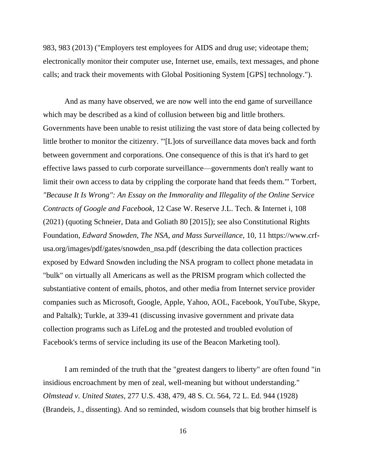983, 983 (2013) ("Employers test employees for AIDS and drug use; videotape them; electronically monitor their computer use, Internet use, emails, text messages, and phone calls; and track their movements with Global Positioning System [GPS] technology.").

And as many have observed, we are now well into the end game of surveillance which may be described as a kind of collusion between big and little brothers. Governments have been unable to resist utilizing the vast store of data being collected by little brother to monitor the citizenry. "'[L]ots of surveillance data moves back and forth between government and corporations. One consequence of this is that it's hard to get effective laws passed to curb corporate surveillance—governments don't really want to limit their own access to data by crippling the corporate hand that feeds them.'" Torbert, *"Because It Is Wrong": An Essay on the Immorality and Illegality of the Online Service Contracts of Google and Facebook*, 12 Case W. Reserve J.L. Tech. & Internet i, 108 (2021) (quoting Schneier, Data and Goliath 80 [2015]); see also Constitutional Rights Foundation, *Edward Snowden, The NSA, and Mass Surveillance*, 10, 11 https://www.crfusa.org/images/pdf/gates/snowden\_nsa.pdf (describing the data collection practices exposed by Edward Snowden including the NSA program to collect phone metadata in "bulk" on virtually all Americans as well as the PRISM program which collected the substantiative content of emails, photos, and other media from Internet service provider companies such as Microsoft, Google, Apple, Yahoo, AOL, Facebook, YouTube, Skype, and Paltalk); Turkle, at 339-41 (discussing invasive government and private data collection programs such as LifeLog and the protested and troubled evolution of Facebook's terms of service including its use of the Beacon Marketing tool).

I am reminded of the truth that the "greatest dangers to liberty" are often found "in insidious encroachment by men of zeal, well-meaning but without understanding." *Olmstead v. United States*, 277 U.S. 438, 479, 48 S. Ct. 564, 72 L. Ed. 944 (1928) (Brandeis, J., dissenting). And so reminded, wisdom counsels that big brother himself is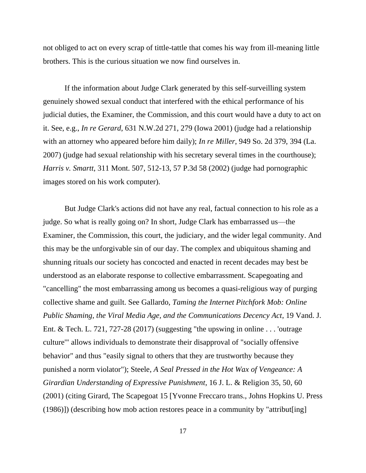not obliged to act on every scrap of tittle-tattle that comes his way from ill-meaning little brothers. This is the curious situation we now find ourselves in.

If the information about Judge Clark generated by this self-surveilling system genuinely showed sexual conduct that interfered with the ethical performance of his judicial duties, the Examiner, the Commission, and this court would have a duty to act on it. See, e.g., *In re Gerard*, 631 N.W.2d 271, 279 (Iowa 2001) (judge had a relationship with an attorney who appeared before him daily); *In re Miller*, 949 So. 2d 379, 394 (La. 2007) (judge had sexual relationship with his secretary several times in the courthouse); *Harris v. Smartt*, 311 Mont. 507, 512-13, 57 P.3d 58 (2002) (judge had pornographic images stored on his work computer).

But Judge Clark's actions did not have any real, factual connection to his role as a judge. So what is really going on? In short, Judge Clark has embarrassed us—the Examiner, the Commission, this court, the judiciary, and the wider legal community. And this may be the unforgivable sin of our day. The complex and ubiquitous shaming and shunning rituals our society has concocted and enacted in recent decades may best be understood as an elaborate response to collective embarrassment. Scapegoating and "cancelling" the most embarrassing among us becomes a quasi-religious way of purging collective shame and guilt. See Gallardo, *Taming the Internet Pitchfork Mob: Online Public Shaming, the Viral Media Age, and the Communications Decency Act*, 19 Vand. J. Ent. & Tech. L. 721, 727-28 (2017) (suggesting "the upswing in online  $\dots$  'outrage culture'" allows individuals to demonstrate their disapproval of "socially offensive behavior" and thus "easily signal to others that they are trustworthy because they punished a norm violator"); Steele, *A Seal Pressed in the Hot Wax of Vengeance: A Girardian Understanding of Expressive Punishment*, 16 J. L. & Religion 35, 50, 60 (2001) (citing Girard, The Scapegoat 15 [Yvonne Freccaro trans., Johns Hopkins U. Press (1986)]) (describing how mob action restores peace in a community by "attribut[ing]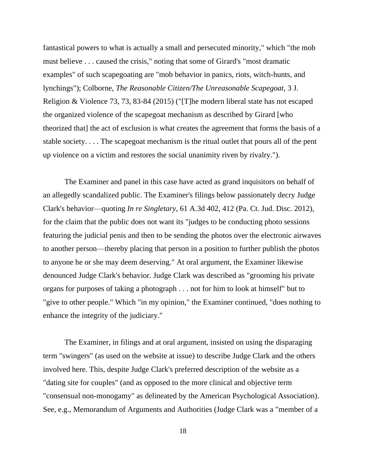fantastical powers to what is actually a small and persecuted minority," which "the mob must believe . . . caused the crisis," noting that some of Girard's "most dramatic examples" of such scapegoating are "mob behavior in panics, riots, witch-hunts, and lynchings"); Colborne, *The Reasonable Citizen/The Unreasonable Scapegoat*, 3 J. Religion & Violence 73, 73, 83-84 (2015) ("[T]he modern liberal state has not escaped the organized violence of the scapegoat mechanism as described by Girard [who theorized that] the act of exclusion is what creates the agreement that forms the basis of a stable society. . . . The scapegoat mechanism is the ritual outlet that pours all of the pent up violence on a victim and restores the social unanimity riven by rivalry.").

The Examiner and panel in this case have acted as grand inquisitors on behalf of an allegedly scandalized public. The Examiner's filings below passionately decry Judge Clark's behavior—quoting *In re Singletary*, 61 A.3d 402, 412 (Pa. Ct. Jud. Disc. 2012), for the claim that the public does not want its "judges to be conducting photo sessions featuring the judicial penis and then to be sending the photos over the electronic airwaves to another person—thereby placing that person in a position to further publish the photos to anyone he or she may deem deserving." At oral argument, the Examiner likewise denounced Judge Clark's behavior. Judge Clark was described as "grooming his private organs for purposes of taking a photograph . . . not for him to look at himself" but to "give to other people." Which "in my opinion," the Examiner continued, "does nothing to enhance the integrity of the judiciary."

The Examiner, in filings and at oral argument, insisted on using the disparaging term "swingers" (as used on the website at issue) to describe Judge Clark and the others involved here. This, despite Judge Clark's preferred description of the website as a "dating site for couples" (and as opposed to the more clinical and objective term "consensual non-monogamy" as delineated by the American Psychological Association). See, e.g., Memorandum of Arguments and Authorities (Judge Clark was a "member of a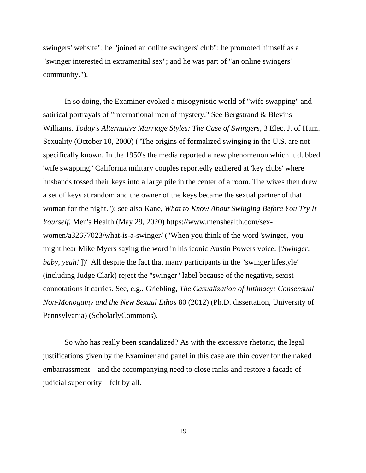swingers' website"; he "joined an online swingers' club"; he promoted himself as a "swinger interested in extramarital sex"; and he was part of "an online swingers' community.").

In so doing, the Examiner evoked a misogynistic world of "wife swapping" and satirical portrayals of "international men of mystery." See Bergstrand & Blevins Williams, *Today's Alternative Marriage Styles: The Case of Swingers*, 3 Elec. J. of Hum. Sexuality (October 10, 2000) ("The origins of formalized swinging in the U.S. are not specifically known. In the 1950's the media reported a new phenomenon which it dubbed 'wife swapping.' California military couples reportedly gathered at 'key clubs' where husbands tossed their keys into a large pile in the center of a room. The wives then drew a set of keys at random and the owner of the keys became the sexual partner of that woman for the night."); see also Kane, *What to Know About Swinging Before You Try It Yourself*, Men's Health (May 29, 2020) https://www.menshealth.com/sexwomen/a32677023/what-is-a-swinger/ ("When you think of the word 'swinger,' you might hear Mike Myers saying the word in his iconic Austin Powers voice. [*'Swinger, baby, yeah!*'])" All despite the fact that many participants in the "swinger lifestyle" (including Judge Clark) reject the "swinger" label because of the negative, sexist connotations it carries. See, e.g., Griebling, *The Casualization of Intimacy: Consensual Non-Monogamy and the New Sexual Ethos* 80 (2012) (Ph.D. dissertation, University of Pennsylvania) (ScholarlyCommons).

So who has really been scandalized? As with the excessive rhetoric, the legal justifications given by the Examiner and panel in this case are thin cover for the naked embarrassment—and the accompanying need to close ranks and restore a facade of judicial superiority—felt by all.

19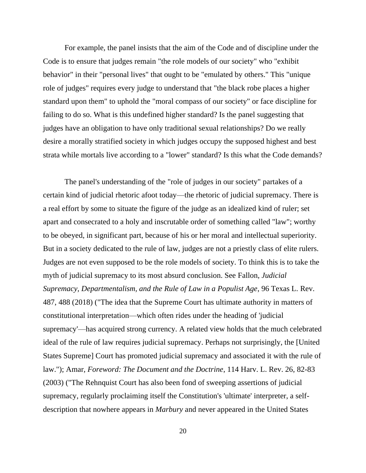For example, the panel insists that the aim of the Code and of discipline under the Code is to ensure that judges remain "the role models of our society" who "exhibit behavior" in their "personal lives" that ought to be "emulated by others." This "unique role of judges" requires every judge to understand that "the black robe places a higher standard upon them" to uphold the "moral compass of our society" or face discipline for failing to do so. What is this undefined higher standard? Is the panel suggesting that judges have an obligation to have only traditional sexual relationships? Do we really desire a morally stratified society in which judges occupy the supposed highest and best strata while mortals live according to a "lower" standard? Is this what the Code demands?

The panel's understanding of the "role of judges in our society" partakes of a certain kind of judicial rhetoric afoot today—the rhetoric of judicial supremacy. There is a real effort by some to situate the figure of the judge as an idealized kind of ruler; set apart and consecrated to a holy and inscrutable order of something called "law"; worthy to be obeyed, in significant part, because of his or her moral and intellectual superiority. But in a society dedicated to the rule of law, judges are not a priestly class of elite rulers. Judges are not even supposed to be the role models of society. To think this is to take the myth of judicial supremacy to its most absurd conclusion. See Fallon, *Judicial Supremacy, Departmentalism, and the Rule of Law in a Populist Age*, 96 Texas L. Rev. 487, 488 (2018) ("The idea that the Supreme Court has ultimate authority in matters of constitutional interpretation—which often rides under the heading of 'judicial supremacy'—has acquired strong currency. A related view holds that the much celebrated ideal of the rule of law requires judicial supremacy. Perhaps not surprisingly, the [United States Supreme] Court has promoted judicial supremacy and associated it with the rule of law."); Amar, *Foreword: The Document and the Doctrine*, 114 Harv. L. Rev. 26, 82-83 (2003) ("The Rehnquist Court has also been fond of sweeping assertions of judicial supremacy, regularly proclaiming itself the Constitution's 'ultimate' interpreter, a selfdescription that nowhere appears in *Marbury* and never appeared in the United States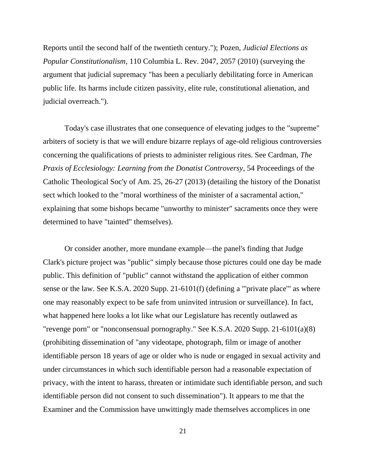Reports until the second half of the twentieth century."); Pozen, *Judicial Elections as Popular Constitutionalism*, 110 Columbia L. Rev. 2047, 2057 (2010) (surveying the argument that judicial supremacy "has been a peculiarly debilitating force in American public life. Its harms include citizen passivity, elite rule, constitutional alienation, and judicial overreach.").

Today's case illustrates that one consequence of elevating judges to the "supreme" arbiters of society is that we will endure bizarre replays of age-old religious controversies concerning the qualifications of priests to administer religious rites. See Cardman, *The Praxis of Ecclesiology: Learning from the Donatist Controversy*, 54 Proceedings of the Catholic Theological Soc'y of Am. 25, 26-27 (2013) (detailing the history of the Donatist sect which looked to the "moral worthiness of the minister of a sacramental action," explaining that some bishops became "unworthy to minister" sacraments once they were determined to have "tainted" themselves).

Or consider another, more mundane example—the panel's finding that Judge Clark's picture project was "public" simply because those pictures could one day be made public. This definition of "public" cannot withstand the application of either common sense or the law. See K.S.A. 2020 Supp. 21-6101(f) (defining a "'private place'" as where one may reasonably expect to be safe from uninvited intrusion or surveillance). In fact, what happened here looks a lot like what our Legislature has recently outlawed as "revenge porn" or "nonconsensual pornography." See K.S.A. 2020 Supp. 21-6101(a)(8) (prohibiting dissemination of "any videotape, photograph, film or image of another identifiable person 18 years of age or older who is nude or engaged in sexual activity and under circumstances in which such identifiable person had a reasonable expectation of privacy, with the intent to harass, threaten or intimidate such identifiable person, and such identifiable person did not consent to such dissemination"). It appears to me that the Examiner and the Commission have unwittingly made themselves accomplices in one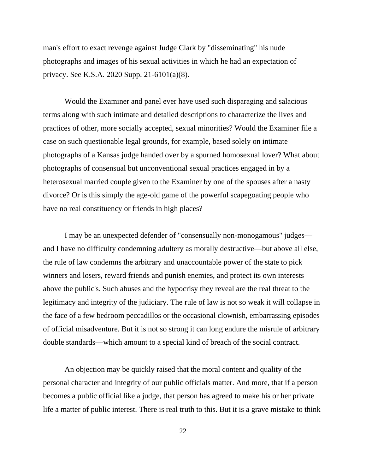man's effort to exact revenge against Judge Clark by "disseminating" his nude photographs and images of his sexual activities in which he had an expectation of privacy. See K.S.A. 2020 Supp. 21-6101(a)(8).

Would the Examiner and panel ever have used such disparaging and salacious terms along with such intimate and detailed descriptions to characterize the lives and practices of other, more socially accepted, sexual minorities? Would the Examiner file a case on such questionable legal grounds, for example, based solely on intimate photographs of a Kansas judge handed over by a spurned homosexual lover? What about photographs of consensual but unconventional sexual practices engaged in by a heterosexual married couple given to the Examiner by one of the spouses after a nasty divorce? Or is this simply the age-old game of the powerful scapegoating people who have no real constituency or friends in high places?

I may be an unexpected defender of "consensually non-monogamous" judges and I have no difficulty condemning adultery as morally destructive—but above all else, the rule of law condemns the arbitrary and unaccountable power of the state to pick winners and losers, reward friends and punish enemies, and protect its own interests above the public's. Such abuses and the hypocrisy they reveal are the real threat to the legitimacy and integrity of the judiciary. The rule of law is not so weak it will collapse in the face of a few bedroom peccadillos or the occasional clownish, embarrassing episodes of official misadventure. But it is not so strong it can long endure the misrule of arbitrary double standards—which amount to a special kind of breach of the social contract.

An objection may be quickly raised that the moral content and quality of the personal character and integrity of our public officials matter. And more, that if a person becomes a public official like a judge, that person has agreed to make his or her private life a matter of public interest. There is real truth to this. But it is a grave mistake to think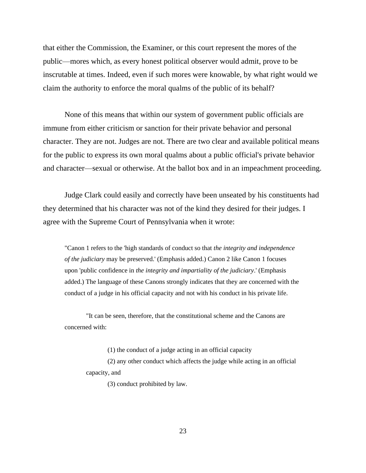that either the Commission, the Examiner, or this court represent the mores of the public—mores which, as every honest political observer would admit, prove to be inscrutable at times. Indeed, even if such mores were knowable, by what right would we claim the authority to enforce the moral qualms of the public of its behalf?

None of this means that within our system of government public officials are immune from either criticism or sanction for their private behavior and personal character. They are not. Judges are not. There are two clear and available political means for the public to express its own moral qualms about a public official's private behavior and character—sexual or otherwise. At the ballot box and in an impeachment proceeding.

Judge Clark could easily and correctly have been unseated by his constituents had they determined that his character was not of the kind they desired for their judges. I agree with the Supreme Court of Pennsylvania when it wrote:

"Canon 1 refers to the 'high standards of conduct so that *the integrity and independence of the judiciary* may be preserved.' (Emphasis added.) Canon 2 like Canon 1 focuses upon 'public confidence in *the integrity and impartiality of the judiciary*.' (Emphasis added.) The language of these Canons strongly indicates that they are concerned with the conduct of a judge in his official capacity and not with his conduct in his private life.

"It can be seen, therefore, that the constitutional scheme and the Canons are concerned with:

(1) the conduct of a judge acting in an official capacity

(2) any other conduct which affects the judge while acting in an official capacity, and

(3) conduct prohibited by law.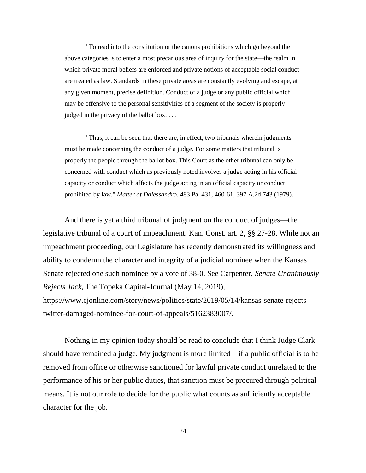"To read into the constitution or the canons prohibitions which go beyond the above categories is to enter a most precarious area of inquiry for the state—the realm in which private moral beliefs are enforced and private notions of acceptable social conduct are treated as law. Standards in these private areas are constantly evolving and escape, at any given moment, precise definition. Conduct of a judge or any public official which may be offensive to the personal sensitivities of a segment of the society is properly judged in the privacy of the ballot box. . . .

"Thus, it can be seen that there are, in effect, two tribunals wherein judgments must be made concerning the conduct of a judge. For some matters that tribunal is properly the people through the ballot box. This Court as the other tribunal can only be concerned with conduct which as previously noted involves a judge acting in his official capacity or conduct which affects the judge acting in an official capacity or conduct prohibited by law." *Matter of Dalessandro*, 483 Pa. 431, 460-61, 397 A.2d 743 (1979).

And there is yet a third tribunal of judgment on the conduct of judges—the legislative tribunal of a court of impeachment. Kan. Const. art. 2, §§ 27-28. While not an impeachment proceeding, our Legislature has recently demonstrated its willingness and ability to condemn the character and integrity of a judicial nominee when the Kansas Senate rejected one such nominee by a vote of 38-0. See Carpenter, *Senate Unanimously Rejects Jack*, The Topeka Capital-Journal (May 14, 2019), https://www.cjonline.com/story/news/politics/state/2019/05/14/kansas-senate-rejectstwitter-damaged-nominee-for-court-of-appeals/5162383007/.

Nothing in my opinion today should be read to conclude that I think Judge Clark should have remained a judge. My judgment is more limited—if a public official is to be removed from office or otherwise sanctioned for lawful private conduct unrelated to the performance of his or her public duties, that sanction must be procured through political means. It is not our role to decide for the public what counts as sufficiently acceptable character for the job.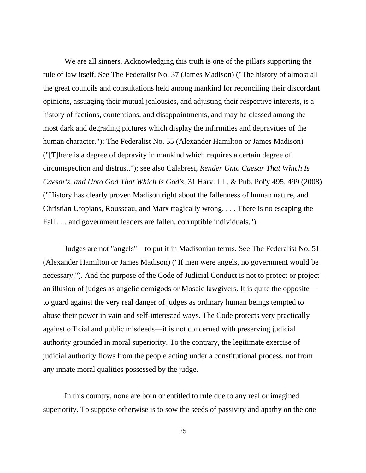We are all sinners. Acknowledging this truth is one of the pillars supporting the rule of law itself. See The Federalist No. 37 (James Madison) ("The history of almost all the great councils and consultations held among mankind for reconciling their discordant opinions, assuaging their mutual jealousies, and adjusting their respective interests, is a history of factions, contentions, and disappointments, and may be classed among the most dark and degrading pictures which display the infirmities and depravities of the human character."); The Federalist No. 55 (Alexander Hamilton or James Madison) ("[T]here is a degree of depravity in mankind which requires a certain degree of circumspection and distrust."); see also Calabresi, *Render Unto Caesar That Which Is Caesar's, and Unto God That Which Is God's*, 31 Harv. J.L. & Pub. Pol'y 495, 499 (2008) ("History has clearly proven Madison right about the fallenness of human nature, and Christian Utopians, Rousseau, and Marx tragically wrong. . . . There is no escaping the Fall . . . and government leaders are fallen, corruptible individuals.").

Judges are not "angels"—to put it in Madisonian terms. See The Federalist No. 51 (Alexander Hamilton or James Madison) ("If men were angels, no government would be necessary."). And the purpose of the Code of Judicial Conduct is not to protect or project an illusion of judges as angelic demigods or Mosaic lawgivers. It is quite the opposite to guard against the very real danger of judges as ordinary human beings tempted to abuse their power in vain and self-interested ways. The Code protects very practically against official and public misdeeds—it is not concerned with preserving judicial authority grounded in moral superiority. To the contrary, the legitimate exercise of judicial authority flows from the people acting under a constitutional process, not from any innate moral qualities possessed by the judge.

In this country, none are born or entitled to rule due to any real or imagined superiority. To suppose otherwise is to sow the seeds of passivity and apathy on the one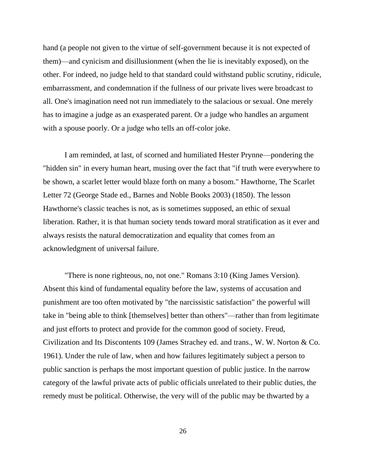hand (a people not given to the virtue of self-government because it is not expected of them)—and cynicism and disillusionment (when the lie is inevitably exposed), on the other. For indeed, no judge held to that standard could withstand public scrutiny, ridicule, embarrassment, and condemnation if the fullness of our private lives were broadcast to all. One's imagination need not run immediately to the salacious or sexual. One merely has to imagine a judge as an exasperated parent. Or a judge who handles an argument with a spouse poorly. Or a judge who tells an off-color joke.

I am reminded, at last, of scorned and humiliated Hester Prynne—pondering the "hidden sin" in every human heart, musing over the fact that "if truth were everywhere to be shown, a scarlet letter would blaze forth on many a bosom." Hawthorne, The Scarlet Letter 72 (George Stade ed., Barnes and Noble Books 2003) (1850). The lesson Hawthorne's classic teaches is not, as is sometimes supposed, an ethic of sexual liberation. Rather, it is that human society tends toward moral stratification as it ever and always resists the natural democratization and equality that comes from an acknowledgment of universal failure.

"There is none righteous, no, not one." Romans 3:10 (King James Version). Absent this kind of fundamental equality before the law, systems of accusation and punishment are too often motivated by "the narcissistic satisfaction" the powerful will take in "being able to think [themselves] better than others"—rather than from legitimate and just efforts to protect and provide for the common good of society. Freud, Civilization and Its Discontents 109 (James Strachey ed. and trans., W. W. Norton & Co. 1961). Under the rule of law, when and how failures legitimately subject a person to public sanction is perhaps the most important question of public justice. In the narrow category of the lawful private acts of public officials unrelated to their public duties, the remedy must be political. Otherwise, the very will of the public may be thwarted by a